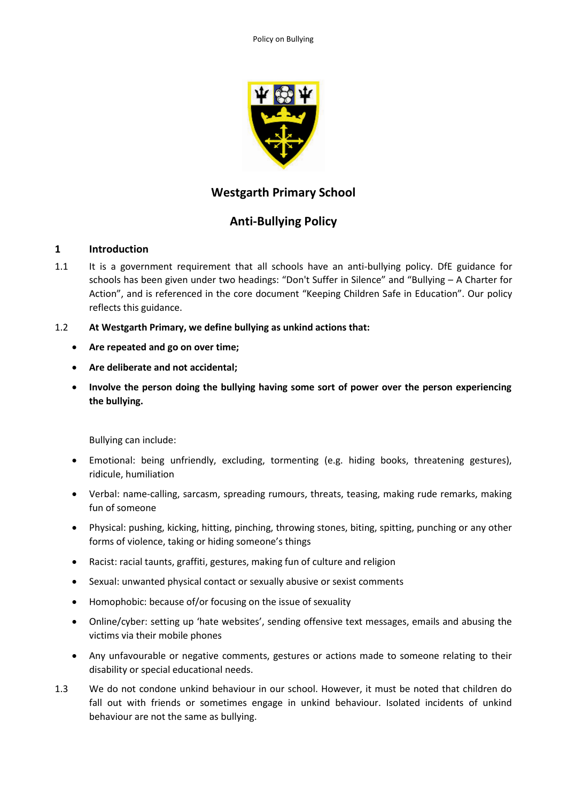

# **Westgarth Primary School**

# **Anti-Bullying Policy**

## **1 Introduction**

- 1.1 It is a government requirement that all schools have an anti-bullying policy. DfE guidance for schools has been given under two headings: "Don't Suffer in Silence" and "Bullying – A Charter for Action", and is referenced in the core document "Keeping Children Safe in Education". Our policy reflects this guidance.
- 1.2 **At Westgarth Primary, we define bullying as unkind actions that:**
	- **Are repeated and go on over time;**
	- **Are deliberate and not accidental;**
	- **Involve the person doing the bullying having some sort of power over the person experiencing the bullying.**

Bullying can include:

- Emotional: being unfriendly, excluding, tormenting (e.g. hiding books, threatening gestures), ridicule, humiliation
- Verbal: name-calling, sarcasm, spreading rumours, threats, teasing, making rude remarks, making fun of someone
- Physical: pushing, kicking, hitting, pinching, throwing stones, biting, spitting, punching or any other forms of violence, taking or hiding someone's things
- Racist: racial taunts, graffiti, gestures, making fun of culture and religion
- Sexual: unwanted physical contact or sexually abusive or sexist comments
- Homophobic: because of/or focusing on the issue of sexuality
- Online/cyber: setting up 'hate websites', sending offensive text messages, emails and abusing the victims via their mobile phones
- Any unfavourable or negative comments, gestures or actions made to someone relating to their disability or special educational needs.
- 1.3 We do not condone unkind behaviour in our school. However, it must be noted that children do fall out with friends or sometimes engage in unkind behaviour. Isolated incidents of unkind behaviour are not the same as bullying.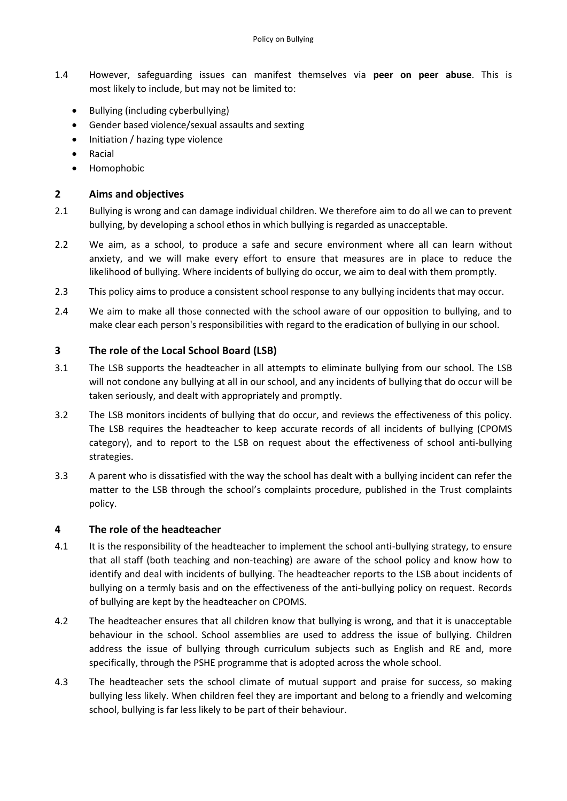- 1.4 However, safeguarding issues can manifest themselves via **peer on peer abuse**. This is most likely to include, but may not be limited to:
	- Bullying (including cyberbullying)
	- Gender based violence/sexual assaults and sexting
	- Initiation / hazing type violence
	- Racial
	- Homophobic

## **2 Aims and objectives**

- 2.1 Bullying is wrong and can damage individual children. We therefore aim to do all we can to prevent bullying, by developing a school ethos in which bullying is regarded as unacceptable.
- 2.2 We aim, as a school, to produce a safe and secure environment where all can learn without anxiety, and we will make every effort to ensure that measures are in place to reduce the likelihood of bullying. Where incidents of bullying do occur, we aim to deal with them promptly.
- 2.3 This policy aims to produce a consistent school response to any bullying incidents that may occur.
- 2.4 We aim to make all those connected with the school aware of our opposition to bullying, and to make clear each person's responsibilities with regard to the eradication of bullying in our school.

## **3 The role of the Local School Board (LSB)**

- 3.1 The LSB supports the headteacher in all attempts to eliminate bullying from our school. The LSB will not condone any bullying at all in our school, and any incidents of bullying that do occur will be taken seriously, and dealt with appropriately and promptly.
- 3.2 The LSB monitors incidents of bullying that do occur, and reviews the effectiveness of this policy. The LSB requires the headteacher to keep accurate records of all incidents of bullying (CPOMS category), and to report to the LSB on request about the effectiveness of school anti-bullying strategies.
- 3.3 A parent who is dissatisfied with the way the school has dealt with a bullying incident can refer the matter to the LSB through the school's complaints procedure, published in the Trust complaints policy.

# **4 The role of the headteacher**

- 4.1 It is the responsibility of the headteacher to implement the school anti-bullying strategy, to ensure that all staff (both teaching and non-teaching) are aware of the school policy and know how to identify and deal with incidents of bullying. The headteacher reports to the LSB about incidents of bullying on a termly basis and on the effectiveness of the anti-bullying policy on request. Records of bullying are kept by the headteacher on CPOMS.
- 4.2 The headteacher ensures that all children know that bullying is wrong, and that it is unacceptable behaviour in the school. School assemblies are used to address the issue of bullying. Children address the issue of bullying through curriculum subjects such as English and RE and, more specifically, through the PSHE programme that is adopted across the whole school.
- 4.3 The headteacher sets the school climate of mutual support and praise for success, so making bullying less likely. When children feel they are important and belong to a friendly and welcoming school, bullying is far less likely to be part of their behaviour.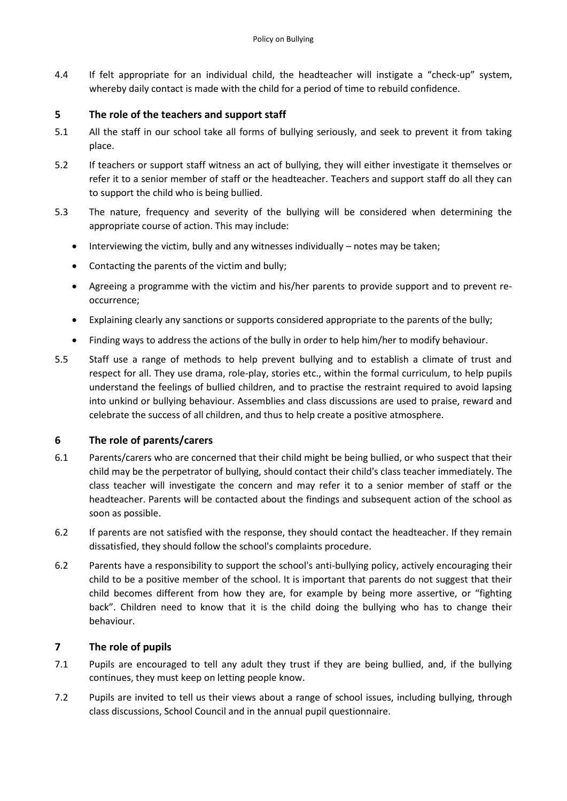4.4 If felt appropriate for an individual child, the headteacher will instigate a "check-up" system, whereby daily contact is made with the child for a period of time to rebuild confidence.

## **5 The role of the teachers and support staff**

- 5.1 All the staff in our school take all forms of bullying seriously, and seek to prevent it from taking place.
- 5.2 If teachers or support staff witness an act of bullying, they will either investigate it themselves or refer it to a senior member of staff or the headteacher. Teachers and support staff do all they can to support the child who is being bullied.
- 5.3 The nature, frequency and severity of the bullying will be considered when determining the appropriate course of action. This may include:
	- Interviewing the victim, bully and any witnesses individually notes may be taken;
	- Contacting the parents of the victim and bully;
	- Agreeing a programme with the victim and his/her parents to provide support and to prevent reoccurrence;
	- Explaining clearly any sanctions or supports considered appropriate to the parents of the bully;
	- Finding ways to address the actions of the bully in order to help him/her to modify behaviour.
- 5.5 Staff use a range of methods to help prevent bullying and to establish a climate of trust and respect for all. They use drama, role-play, stories etc., within the formal curriculum, to help pupils understand the feelings of bullied children, and to practise the restraint required to avoid lapsing into unkind or bullying behaviour. Assemblies and class discussions are used to praise, reward and celebrate the success of all children, and thus to help create a positive atmosphere.

## **6 The role of parents/carers**

- 6.1 Parents/carers who are concerned that their child might be being bullied, or who suspect that their child may be the perpetrator of bullying, should contact their child's class teacher immediately. The class teacher will investigate the concern and may refer it to a senior member of staff or the headteacher. Parents will be contacted about the findings and subsequent action of the school as soon as possible.
- 6.2 If parents are not satisfied with the response, they should contact the headteacher. If they remain dissatisfied, they should follow the school's complaints procedure.
- 6.2 Parents have a responsibility to support the school's anti-bullying policy, actively encouraging their child to be a positive member of the school. It is important that parents do not suggest that their child becomes different from how they are, for example by being more assertive, or "fighting back". Children need to know that it is the child doing the bullying who has to change their behaviour.

## **7 The role of pupils**

- 7.1 Pupils are encouraged to tell any adult they trust if they are being bullied, and, if the bullying continues, they must keep on letting people know.
- 7.2 Pupils are invited to tell us their views about a range of school issues, including bullying, through class discussions, School Council and in the annual pupil questionnaire.